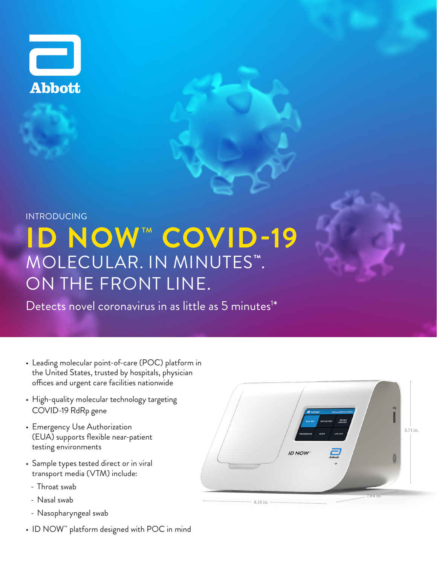

## **ID NOW**™ **COVID-19** INTRODUCING MOLECULAR. IN MINUTES**™**. ON THE FRONT LINE.

Detects novel coronavirus in as little as 5 minutes<sup>1\*</sup>

- Leading molecular point-of-care (POC) platform in the United States, trusted by hospitals, physician offices and urgent care facilities nationwide
- High-quality molecular technology targeting COVID-19 RdRp gene
- Emergency Use Authorization (EUA) supports flexible near-patient testing environments
- Sample types tested direct or in viral transport media (VTM) include:
	- Throat swab
	- Nasal swab
	- Nasopharyngeal swab